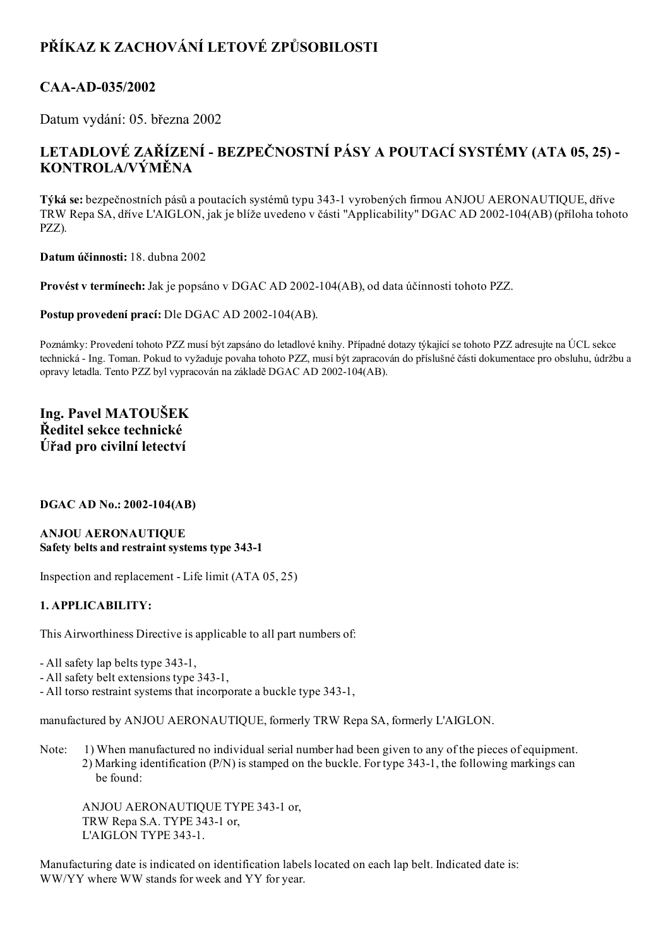# PŘÍKAZ K ZACHOVÁNÍ LETOVÉ ZPŮSOBILOSTI

## CAA-AD-035/2002

Datum vydání: 05. března 2002

## LETADLOVÉ ZAŘÍZENÍ - BEZPEČNOSTNÍ PÁSY A POUTACÍ SYSTÉMY (ATA 05, 25) -KONTROLA/VÝMĚNA

Týká se: bezpečnostních pásů a poutacích systémů typu 3431 vyrobených firmou ANJOU AERONAUTIQUE, dříve TRW Repa SA, dříve L'AIGLON, jak je blíže uvedeno v části "Applicability" DGAC AD 2002104(AB) (příloha tohoto PZZ).

Datum účinnosti: 18. dubna 2002

Provést v termínech: Jak je popsáno v DGAC AD 2002-104(AB), od data účinnosti tohoto PZZ.

Postup provedení prací: Dle DGAC AD 2002-104(AB).

Poznámky: Provedení tohoto PZZ musí být zapsáno do letadlové knihy. Případné dotazy týkající se tohoto PZZ adresujte na ÚCL sekce technická Ing. Toman. Pokud to vyžaduje povaha tohoto PZZ, musí být zapracován do příslušné části dokumentace pro obsluhu, údržbu a opravy letadla. Tento PZZ byl vypracován na základě DGAC AD 2002-104(AB).

## Ing. Pavel MATOUŠEK Ředitel sekce technické Úřad pro civilní letectví

### DGAC AD No.: 2002-104(AB)

#### ANJOU AERONAUTIQUE Safety belts and restraint systems type 343-1

Inspection and replacement - Life limit  $(ATA 05, 25)$ 

### 1. APPLICABILITY:

This Airworthiness Directive is applicable to all part numbers of:

- All safety lap belts type 343-1,

- All safety belt extensions type 343-1,

- All torso restraint systems that incorporate a buckle type 343-1,

manufactured by ANJOU AERONAUTIQUE, formerly TRW Repa SA, formerly L'AIGLON.

Note: 1) When manufactured no individual serial number had been given to any of the pieces of equipment. 2) Marking identification (P/N) is stamped on the buckle. For type 3431, the following markings can be found:

ANJOU AERONAUTIQUE TYPE 3431 or, TRW Repa S.A. TYPE 343-1 or, L'AIGLON TYPE 343-1.

Manufacturing date is indicated on identification labels located on each lap belt. Indicated date is: WW/YY where WW stands for week and YY for year.